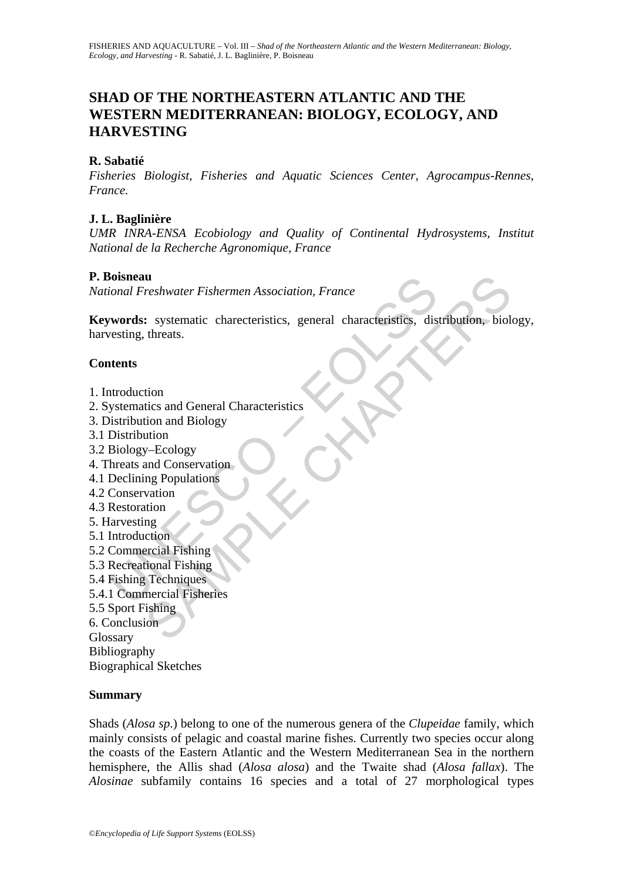# **SHAD OF THE NORTHEASTERN ATLANTIC AND THE WESTERN MEDITERRANEAN: BIOLOGY, ECOLOGY, AND HARVESTING**

### **R. Sabatié**

*Fisheries Biologist, Fisheries and Aquatic Sciences Center, Agrocampus-Rennes, France.*

### **J. L. Baglinière**

*UMR INRA-ENSA Ecobiology and Quality of Continental Hydrosystems, Institut National de la Recherche Agronomique, France* 

#### **P. Boisneau**

*National Freshwater Fishermen Association, France* 

Formal Freshwater Fishermen Association, France<br> **Exercise 2.1 Systematic characteristics**, discussing, threats.<br>
<br> **Actions:**<br> **Action Systematics and General Characteristics**<br>
<br> **Moduction**<br> **Moduction**<br> **Systematics and urbest and Exploration Systematic characteristics, general characteristics, distribution, biolitimes.**<br>
Systematic characteristics, general characteristics, distribution, biolitimes.<br>
Ition<br>
ition and Biology<br>
Ution<br>
and **Keywords:** systematic charecteristics, general characteristics, distribution, biology, harvesting, threats.

#### **Contents**

- 1. Introduction
- 2. Systematics and General Characteristics
- 3. Distribution and Biology
- 3.1 Distribution
- 3.2 Biology–Ecology
- 4. Threats and Conservation
- 4.1 Declining Populations
- 4.2 Conservation
- 4.3 Restoration
- 5. Harvesting
- 5.1 Introduction
- 5.2 Commercial Fishing
- 5.3 Recreational Fishing
- 5.4 Fishing Techniques
- 5.4.1 Commercial Fisheries
- 5.5 Sport Fishing
- 6. Conclusion
- Glossary
- Bibliography
- Biographical Sketches

#### **Summary**

Shads (*Alosa sp*.) belong to one of the numerous genera of the *Clupeidae* family, which mainly consists of pelagic and coastal marine fishes. Currently two species occur along the coasts of the Eastern Atlantic and the Western Mediterranean Sea in the northern hemisphere, the Allis shad (*Alosa alosa*) and the Twaite shad (*Alosa fallax*). The *Alosinae* subfamily contains 16 species and a total of 27 morphological types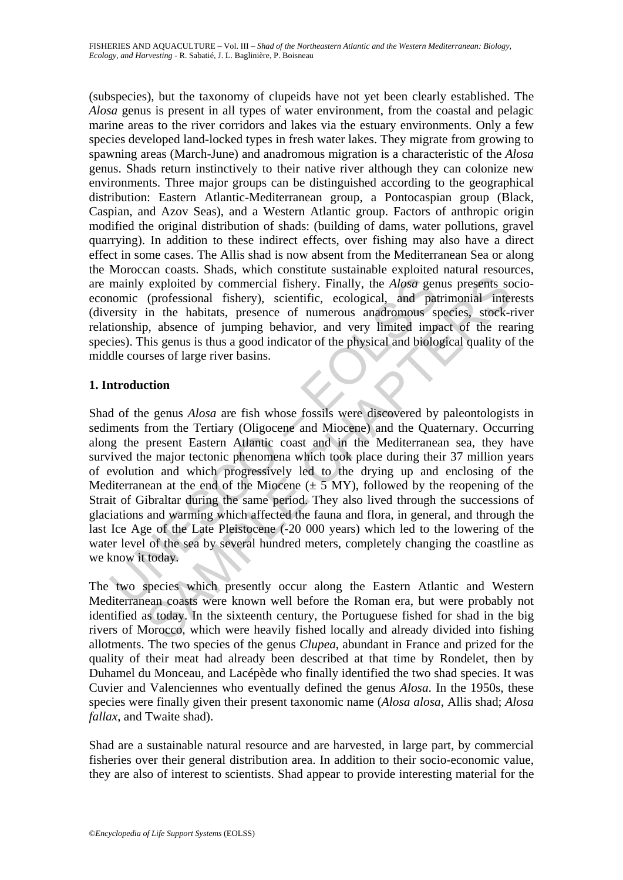(subspecies), but the taxonomy of clupeids have not yet been clearly established. The *Alosa* genus is present in all types of water environment, from the coastal and pelagic marine areas to the river corridors and lakes via the estuary environments. Only a few species developed land-locked types in fresh water lakes. They migrate from growing to spawning areas (March-June) and anadromous migration is a characteristic of the *Alosa*  genus. Shads return instinctively to their native river although they can colonize new environments. Three major groups can be distinguished according to the geographical distribution: Eastern Atlantic-Mediterranean group, a Pontocaspian group (Black, Caspian, and Azov Seas), and a Western Atlantic group. Factors of anthropic origin modified the original distribution of shads: (building of dams, water pollutions, gravel quarrying). In addition to these indirect effects, over fishing may also have a direct effect in some cases. The Allis shad is now absent from the Mediterranean Sea or along the Moroccan coasts. Shads, which constitute sustainable exploited natural resources, are mainly exploited by commercial fishery. Finally, the *Alosa* genus presents socioeconomic (professional fishery), scientific, ecological, and patrimonial interests (diversity in the habitats, presence of numerous anadromous species, stock-river relationship, absence of jumping behavior, and very limited impact of the rearing species). This genus is thus a good indicator of the physical and biological quality of the middle courses of large river basins.

# **1. Introduction**

mainly exploited by commercial fishery. Finally, the *Alosa* genomic (professional fishery), scientific, ecological, and patersity in the habitats, presence of numerous anadromous sytionship, absence of jumping behavior, exploited by commercial fishery. Finally, the *Alosa* genus presents so<br>(professional fishery), scientific, ecological, and patrimonial inter<br>in the habitats, presence of numerous anadcomous species, stock-<br>in, absence of Shad of the genus *Alosa* are fish whose fossils were discovered by paleontologists in sediments from the Tertiary (Oligocene and Miocene) and the Quaternary. Occurring along the present Eastern Atlantic coast and in the Mediterranean sea, they have survived the major tectonic phenomena which took place during their 37 million years of evolution and which progressively led to the drying up and enclosing of the Mediterranean at the end of the Miocene  $(\pm 5 \text{ MY})$ , followed by the reopening of the Strait of Gibraltar during the same period. They also lived through the successions of glaciations and warming which affected the fauna and flora, in general, and through the last Ice Age of the Late Pleistocene (-20 000 years) which led to the lowering of the water level of the sea by several hundred meters, completely changing the coastline as we know it today.

The two species which presently occur along the Eastern Atlantic and Western Mediterranean coasts were known well before the Roman era, but were probably not identified as today. In the sixteenth century, the Portuguese fished for shad in the big rivers of Morocco, which were heavily fished locally and already divided into fishing allotments. The two species of the genus *Clupea*, abundant in France and prized for the quality of their meat had already been described at that time by Rondelet, then by Duhamel du Monceau, and Lacépède who finally identified the two shad species. It was Cuvier and Valenciennes who eventually defined the genus *Alosa*. In the 1950s, these species were finally given their present taxonomic name (*Alosa alosa*, Allis shad; *Alosa fallax*, and Twaite shad).

Shad are a sustainable natural resource and are harvested, in large part, by commercial fisheries over their general distribution area. In addition to their socio-economic value, they are also of interest to scientists. Shad appear to provide interesting material for the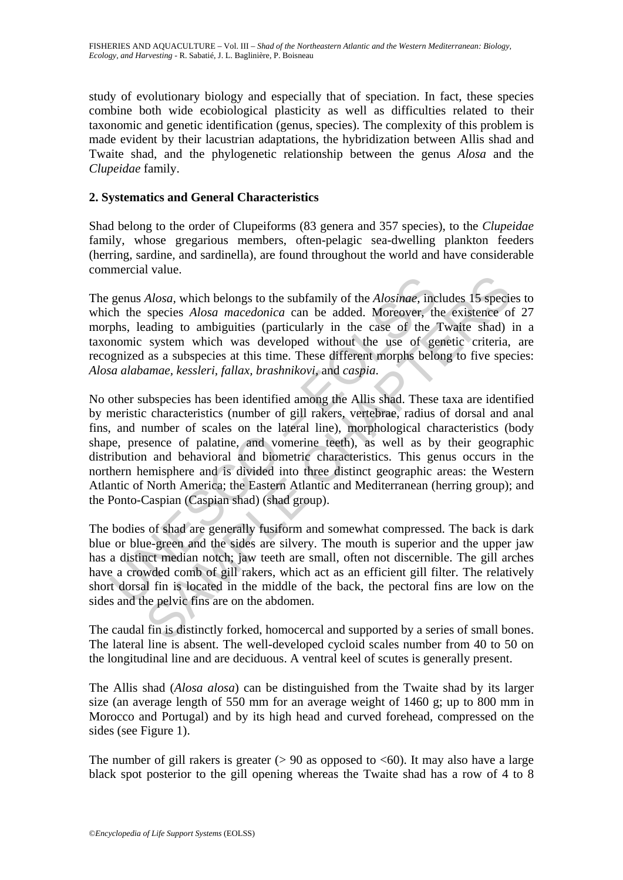study of evolutionary biology and especially that of speciation. In fact, these species combine both wide ecobiological plasticity as well as difficulties related to their taxonomic and genetic identification (genus, species). The complexity of this problem is made evident by their lacustrian adaptations, the hybridization between Allis shad and Twaite shad, and the phylogenetic relationship between the genus *Alosa* and the *Clupeidae* family.

# **2. Systematics and General Characteristics**

Shad belong to the order of Clupeiforms (83 genera and 357 species), to the *Clupeidae* family, whose gregarious members, often-pelagic sea-dwelling plankton feeders (herring, sardine, and sardinella), are found throughout the world and have considerable commercial value.

The genus *Alosa,* which belongs to the subfamily of the *Alosinae*, includes 15 species to which the species *Alosa macedonica* can be added. Moreover, the existence of 27 morphs, leading to ambiguities (particularly in the case of the Twaite shad) in a taxonomic system which was developed without the use of genetic criteria, are recognized as a subspecies at this time. These different morphs belong to five species: *Alosa alabamae, kessleri, fallax, brashnikovi,* and *caspia*.

genus *Alosa*, which belongs to the subfamily of the *Alosinae*, inc<br>
ch the species *Alosa macedonica* can be added. Moreover, th<br>
phs, leading to ambiguities (particularly in the case of the<br>
phomomic system which was d Alosa, which belongs to the subfamily of the Alosinae, includes 15 species Alosa macedonica can be added. Moreover, the existence of adiation and increase adiation and increase of the Twaite shados system which was develo No other subspecies has been identified among the Allis shad. These taxa are identified by meristic characteristics (number of gill rakers, vertebrae, radius of dorsal and anal fins, and number of scales on the lateral line), morphological characteristics (body shape, presence of palatine, and vomerine teeth), as well as by their geographic distribution and behavioral and biometric characteristics. This genus occurs in the northern hemisphere and is divided into three distinct geographic areas: the Western Atlantic of North America; the Eastern Atlantic and Mediterranean (herring group); and the Ponto-Caspian (Caspian shad) (shad group).

The bodies of shad are generally fusiform and somewhat compressed. The back is dark blue or blue-green and the sides are silvery. The mouth is superior and the upper jaw has a distinct median notch; jaw teeth are small, often not discernible. The gill arches have a crowded comb of gill rakers, which act as an efficient gill filter. The relatively short dorsal fin is located in the middle of the back, the pectoral fins are low on the sides and the pelvic fins are on the abdomen.

The caudal fin is distinctly forked, homocercal and supported by a series of small bones. The lateral line is absent. The well-developed cycloid scales number from 40 to 50 on the longitudinal line and are deciduous. A ventral keel of scutes is generally present.

The Allis shad (*Alosa alosa*) can be distinguished from the Twaite shad by its larger size (an average length of 550 mm for an average weight of 1460 g; up to 800 mm in Morocco and Portugal) and by its high head and curved forehead, compressed on the sides (see Figure 1).

The number of gill rakers is greater  $(> 90$  as opposed to  $< 60$ ). It may also have a large black spot posterior to the gill opening whereas the Twaite shad has a row of 4 to 8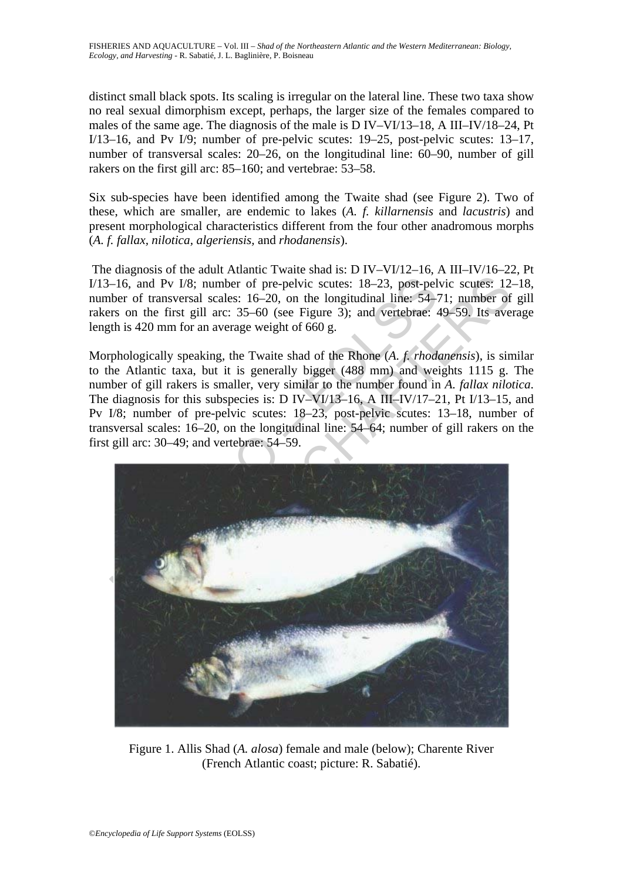distinct small black spots. Its scaling is irregular on the lateral line. These two taxa show no real sexual dimorphism except, perhaps, the larger size of the females compared to males of the same age. The diagnosis of the male is D IV–VI/13–18, A III–IV/18–24, Pt I/13–16, and Pv I/9; number of pre-pelvic scutes: 19–25, post-pelvic scutes: 13–17, number of transversal scales: 20–26, on the longitudinal line: 60–90, number of gill rakers on the first gill arc: 85–160; and vertebrae: 53–58.

Six sub-species have been identified among the Twaite shad (see Figure 2). Two of these, which are smaller, are endemic to lakes (*A. f. killarnensis* and *lacustris*) and present morphological characteristics different from the four other anadromous morphs (*A. f. fallax, nilotica, algeriensis,* and *rhodanensis*).

 The diagnosis of the adult Atlantic Twaite shad is: D IV–VI/12–16, A III–IV/16–22, Pt I/13–16, and Pv I/8; number of pre-pelvic scutes: 18–23, post-pelvic scutes: 12–18, number of transversal scales: 16–20, on the longitudinal line: 54–71; number of gill rakers on the first gill arc: 35–60 (see Figure 3); and vertebrae: 49–59. Its average length is 420 mm for an average weight of 660 g.

Morphologically speaking, the Twaite shad of the Rhone (*A. f. rhodanensis*), is similar to the Atlantic taxa, but it is generally bigger (488 mm) and weights 1115 g. The number of gill rakers is smaller, very similar to the number found in *A. fallax nilotica*. The diagnosis for this subspecies is: D IV–VI/13–16, A III–IV/17–21, Pt I/13–15, and Pv I/8; number of pre-pelvic scutes: 18–23, post-pelvic scutes: 13–18, number of transversal scales: 16–20, on the longitudinal line: 54–64; number of gill rakers on the first gill arc: 30–49; and vertebrae: 54–59.



Figure 1. Allis Shad (*A. alosa*) female and male (below); Charente River (French Atlantic coast; picture: R. Sabatié).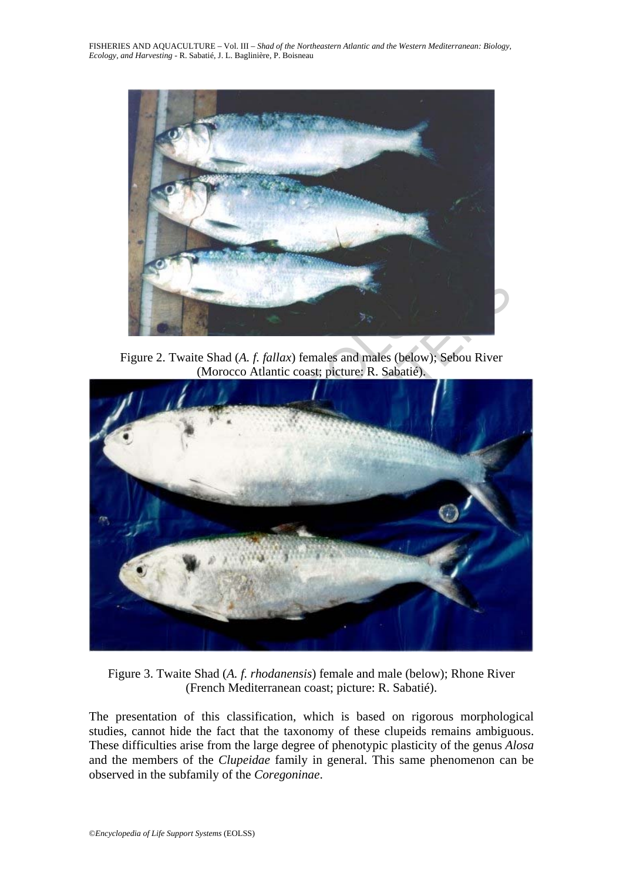

Figure 2. Twaite Shad (*A. f. fallax*) females and males (below); Sebou River (Morocco Atlantic coast; picture: R. Sabatié).



Figure 3. Twaite Shad (*A. f. rhodanensis*) female and male (below); Rhone River (French Mediterranean coast; picture: R. Sabatié).

The presentation of this classification, which is based on rigorous morphological studies, cannot hide the fact that the taxonomy of these clupeids remains ambiguous. These difficulties arise from the large degree of phenotypic plasticity of the genus *Alosa*  and the members of the *Clupeidae* family in general. This same phenomenon can be observed in the subfamily of the *Coregoninae*.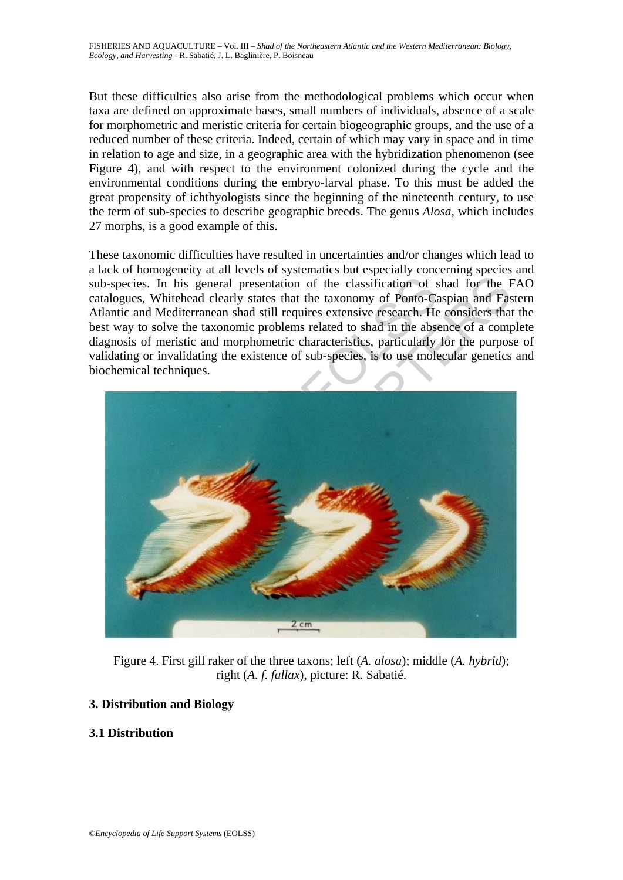But these difficulties also arise from the methodological problems which occur when taxa are defined on approximate bases, small numbers of individuals, absence of a scale for morphometric and meristic criteria for certain biogeographic groups, and the use of a reduced number of these criteria. Indeed, certain of which may vary in space and in time in relation to age and size, in a geographic area with the hybridization phenomenon (see Figure 4), and with respect to the environment colonized during the cycle and the environmental conditions during the embryo-larval phase. To this must be added the great propensity of ichthyologists since the beginning of the nineteenth century, to use the term of sub-species to describe geographic breeds. The genus *Alosa,* which includes 27 morphs, is a good example of this.

These taxonomic difficulties have resulted in uncertainties and/or changes which lead to a lack of homogeneity at all levels of systematics but especially concerning species and sub-species. In his general presentation of the classification of shad for the FAO catalogues, Whitehead clearly states that the taxonomy of Ponto-Caspian and Eastern Atlantic and Mediterranean shad still requires extensive research. He considers that the best way to solve the taxonomic problems related to shad in the absence of a complete diagnosis of meristic and morphometric characteristics, particularly for the purpose of validating or invalidating the existence of sub-species, is to use molecular genetics and biochemical techniques.



Figure 4. First gill raker of the three taxons; left (*A. alosa*); middle (*A. hybrid*); right (*A. f. fallax*), picture: R. Sabatié.

# **3. Distribution and Biology**

# **3.1 Distribution**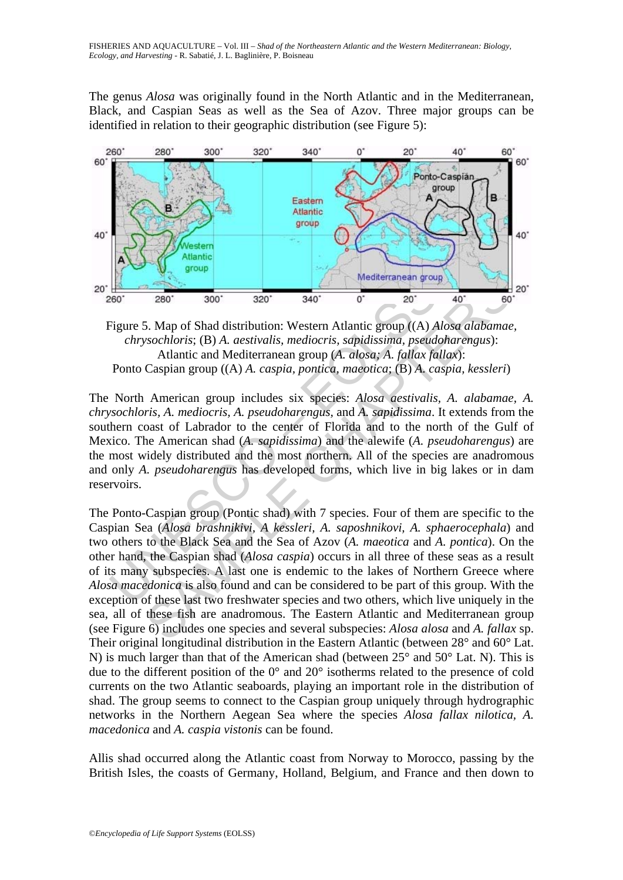The genus *Alosa* was originally found in the North Atlantic and in the Mediterranean, Black, and Caspian Seas as well as the Sea of Azov. Three major groups can be identified in relation to their geographic distribution (see Figure 5):



Figure 5. Map of Shad distribution: Western Atlantic group ((A) *Alosa alabamae, chrysochloris*; (B) *A. aestivalis, mediocris, sapidissima, pseudoharengus*): Atlantic and Mediterranean group (*A. alosa; A. fallax fallax*): Ponto Caspian group ((A) *A. caspia, pontica, maeotica*; (B) *A. caspia, kessleri*)

Mediterranean group<br>
Figure 5. Map of Shad distribution: Western Atlantic group ((A) Achrysochloris; (B) A. aestivalis, mediocris, sapidissima, pseudal Atlantic and Mediterranean group (A. alosa; A. fallax fa<br>
Ponto Caspia The North American group includes six species: *Alosa aestivalis, A. alabamae, A. chrysochloris, A. mediocris, A. pseudoharengus,* and *A. sapidissima*. It extends from the southern coast of Labrador to the center of Florida and to the north of the Gulf of Mexico. The American shad (*A. sapidissima*) and the alewife (*A. pseudoharengus*) are the most widely distributed and the most northern. All of the species are anadromous and only *A. pseudoharengus* has developed forms, which live in big lakes or in dam reservoirs.

**Example 18 and 18 and 18 and 18 and 18 and 18 and 18 and 18 and 18 and 18 and 18 and 18 and 18 and 18 and 18 and 18 and 18 and 18 and 18 and 18 and 18 and 18 and 18 and 18 and 18 and 18 and 18 and 18 and 18 and 18 and 18** The Ponto-Caspian group (Pontic shad) with 7 species. Four of them are specific to the Caspian Sea (*Alosa brashnikivi, A kessleri, A. saposhnikovi, A. sphaerocephala*) and two others to the Black Sea and the Sea of Azov (*A. maeotica* and *A. pontica*). On the other hand, the Caspian shad (*Alosa caspia*) occurs in all three of these seas as a result of its many subspecies. A last one is endemic to the lakes of Northern Greece where *Alosa macedonica* is also found and can be considered to be part of this group. With the exception of these last two freshwater species and two others, which live uniquely in the sea, all of these fish are anadromous. The Eastern Atlantic and Mediterranean group (see Figure 6) includes one species and several subspecies: *Alosa alosa* and *A. fallax* sp. Their original longitudinal distribution in the Eastern Atlantic (between 28° and 60° Lat. N) is much larger than that of the American shad (between 25° and 50° Lat. N). This is due to the different position of the 0° and 20° isotherms related to the presence of cold currents on the two Atlantic seaboards, playing an important role in the distribution of shad. The group seems to connect to the Caspian group uniquely through hydrographic networks in the Northern Aegean Sea where the species *Alosa fallax nilotica, A. macedonica* and *A. caspia vistonis* can be found.

Allis shad occurred along the Atlantic coast from Norway to Morocco, passing by the British Isles, the coasts of Germany, Holland, Belgium, and France and then down to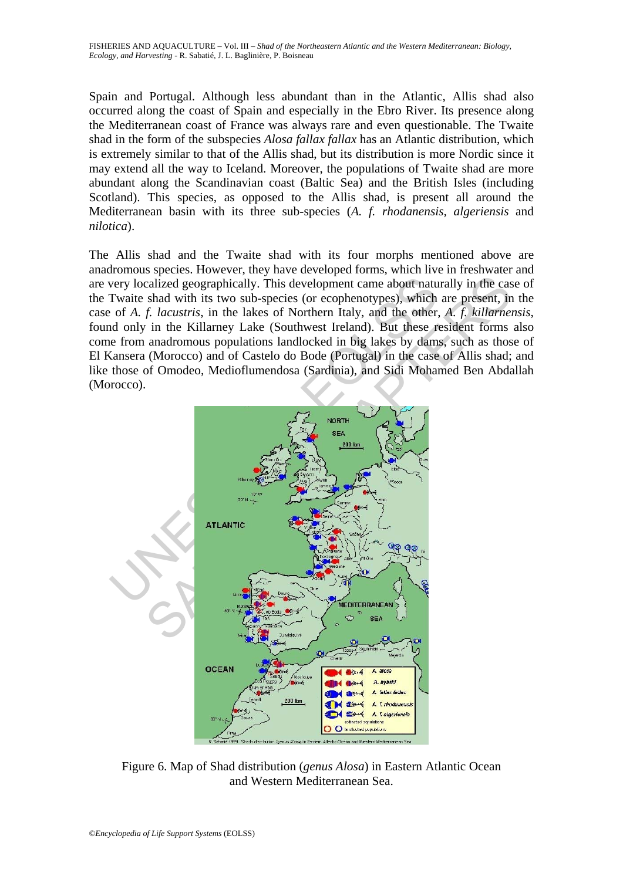Spain and Portugal. Although less abundant than in the Atlantic, Allis shad also occurred along the coast of Spain and especially in the Ebro River. Its presence along the Mediterranean coast of France was always rare and even questionable. The Twaite shad in the form of the subspecies *Alosa fallax fallax* has an Atlantic distribution, which is extremely similar to that of the Allis shad, but its distribution is more Nordic since it may extend all the way to Iceland. Moreover, the populations of Twaite shad are more abundant along the Scandinavian coast (Baltic Sea) and the British Isles (including Scotland). This species, as opposed to the Allis shad, is present all around the Mediterranean basin with its three sub-species (*A. f. rhodanensis, algeriensis* and *nilotica*).

The Allis shad and the Twaite shad with its four morphs mentioned above are anadromous species. However, they have developed forms, which live in freshwater and are very localized geographically. This development came about naturally in the case of the Twaite shad with its two sub-species (or ecophenotypes), which are present, in the case of *A. f. lacustris*, in the lakes of Northern Italy, and the other, *A. f. killarnensis*, found only in the Killarney Lake (Southwest Ireland). But these resident forms also come from anadromous populations landlocked in big lakes by dams, such as those of El Kansera (Morocco) and of Castelo do Bode (Portugal) in the case of Allis shad; and like those of Omodeo, Medioflumendosa (Sardinia), and Sidi Mohamed Ben Abdallah (Morocco).



Figure 6. Map of Shad distribution (*genus Alosa*) in Eastern Atlantic Ocean and Western Mediterranean Sea.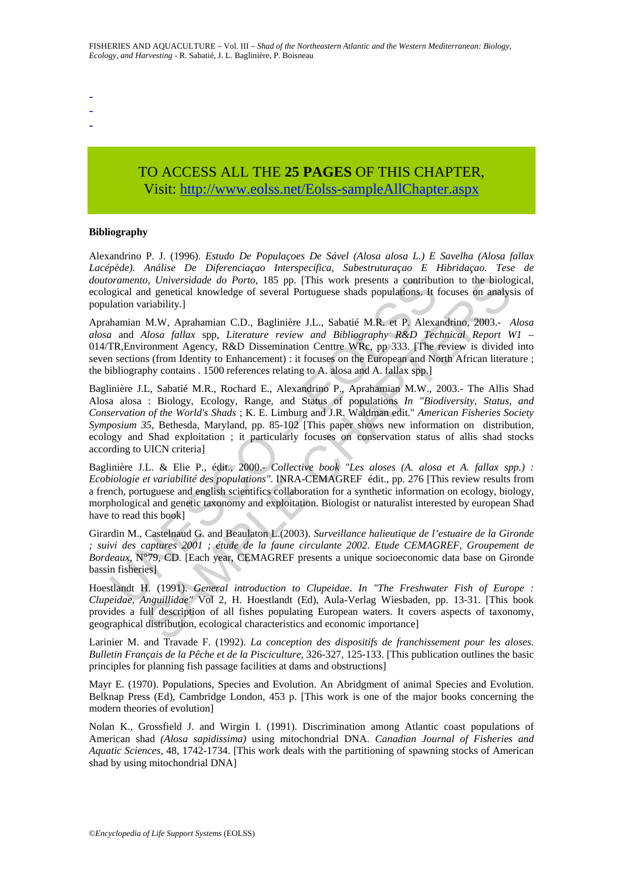- -
- -

# TO ACCESS ALL THE **25 PAGES** OF THIS CHAPTER, Visi[t: http://www.eolss.net/Eolss-sampleAllChapter.aspx](https://www.eolss.net/ebooklib/sc_cart.aspx?File=E5-05-03-04)

#### **Bibliography**

Alexandrino P. J. (1996). *Estudo De Populaçoes De Sável (Alosa alosa L.) E Savelha (Alosa fallax Lacépède). Análise De Diferenciaçao Interspecífica, Subestruturaçao E Hibridaçao. Tese de doutoramento, Universidade do Porto*, 185 pp. [This work presents a contribution to the biological, ecological and genetical knowledge of several Portuguese shads populations. It focuses on analysis of population variability.]

Aprahamian M.W, Aprahamian C.D., Baglinière J.L., Sabatié M.R. et P. Alexandrino, 2003.- *Alosa alosa* and *Alosa fallax* spp, *Literature review and Bibliography R&D Technical Report W1* – 014/TR,Environment Agency, R&D Dissemination Centtre WRc, pp 333. [The review is divided into seven sections (from Identity to Enhancement) : it focuses on the European and North African literature ; the bibliography contains . 1500 references relating to A. alosa and A. fallax spp.]

oramento, Universidade do Porto, 185 pp. [This work presents a contribution<br>gigical and genetical knowledge of several Portuguese shads populations. It has<br>minion variability.]<br>thamina M.W, Aprahamian C.D., Baglinière J.L. o, Universidade do Porto, 185 pp. [This work presents a contribution to the biolog<br>
dependical knowledge of several Portuguese shads populations. It focuses on analys<br>
ariability.]<br>
M.W. Aprahamian C.D., Baglinière J.L., Baglinière J.L, Sabatié M.R., Rochard E., Alexandrino P., Aprahamian M.W., 2003.- The Allis Shad Alosa alosa : Biology, Ecology, Range, and Status of populations *In "Biodiversity, Status, and Conservation of the World's Shads* ; K. E. Limburg and J.R. Waldman edit." *American Fisheries Society Symposium 35*, Bethesda, Maryland, pp. 85-102 [This paper shows new information on distribution, ecology and Shad exploitation ; it particularly focuses on conservation status of allis shad stocks according to UICN criteria]

Baglinière J.L. & Elie P., édit., 2000.- *Collective book "Les aloses (A. alosa et A. fallax spp.) : Ecobiologie et variabilité des populations"*. INRA-CEMAGREF édit., pp. 276 [This review results from a french, portuguese and english scientifics collaboration for a synthetic information on ecology, biology, morphological and genetic taxonomy and exploitation. Biologist or naturalist interested by european Shad have to read this book]

Girardin M., Castelnaud G. and Beaulaton L.(2003). *Surveillance halieutique de l'estuaire de la Gironde ; suivi des captures 2001 ; étude de la faune circulante 2002*. *Etude CEMAGREF, Groupement de Bordeaux*, N°79, CD. [Each year, CEMAGREF presents a unique socioeconomic data base on Gironde bassin fisheries]

Hoestlandt H. (1991). *General introduction to Clupeidae*. *In "The Freshwater Fish of Europe : Clupeidae, Anguillidae"* Vol 2, H. Hoestlandt (Ed), Aula-Verlag Wiesbaden, pp. 13-31. [This book provides a full description of all fishes populating European waters. It covers aspects of taxonomy, geographical distribution, ecological characteristics and economic importance]

Larinier M. and Travade F. (1992). *La conception des dispositifs de franchissement pour les aloses. Bulletin Français de la Pêche et de la Pisciculture,* 326-327, 125-133. [This publication outlines the basic principles for planning fish passage facilities at dams and obstructions]

Mayr E. (1970). Populations, Species and Evolution. An Abridgment of animal Species and Evolution. Belknap Press (Ed), Cambridge London, 453 p. [This work is one of the major books concerning the modern theories of evolution]

Nolan K., Grossfield J. and Wirgin I. (1991). Discrimination among Atlantic coast populations of American shad *(Alosa sapidissima)* using mitochondrial DNA. *Canadian Journal of Fisheries and Aquatic Sciences,* 48, 1742-1734. [This work deals with the partitioning of spawning stocks of American shad by using mitochondrial DNA]